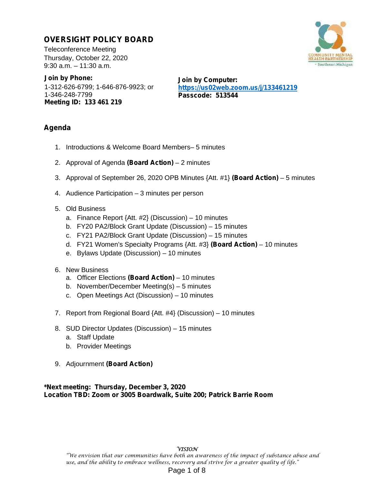# **OVERSIGHT POLICY BOARD**

Teleconference Meeting Thursday, October 22, 2020 9:30 a.m. – 11:30 a.m.

**Join by Phone:** 1-312-626-6799; 1-646-876-9923; or 1-346-248-7799 **Meeting ID: 133 461 219**

**Join by Computer: https://us02web.zoom.us/j/133461219 Passcode: 513544**

# **Agenda**

- 1. Introductions & Welcome Board Members– 5 minutes
- 2. Approval of Agenda **(Board Action)** 2 minutes
- 3. Approval of September 26, 2020 OPB Minutes {Att. #1} **(Board Action)** 5 minutes
- 4. Audience Participation 3 minutes per person
- 5. Old Business
	- a. Finance Report {Att. #2} (Discussion) 10 minutes
	- b. FY20 PA2/Block Grant Update (Discussion) 15 minutes
	- c. FY21 PA2/Block Grant Update (Discussion) 15 minutes
	- d. FY21 Women's Specialty Programs {Att. #3} **(Board Action)** 10 minutes
	- e. Bylaws Update (Discussion) 10 minutes
- 6. New Business
	- a. Officer Elections **(Board Action)** 10 minutes
	- b. November/December Meeting(s) 5 minutes
	- c. Open Meetings Act (Discussion) 10 minutes
- 7. Report from Regional Board {Att. #4} (Discussion) 10 minutes
- 8. SUD Director Updates (Discussion) 15 minutes
	- a. Staff Update
	- b. Provider Meetings
- 9. Adjournment **(Board Action)**

**\*Next meeting: Thursday, December 3, 2020 Location TBD: Zoom or 3005 Boardwalk, Suite 200; Patrick Barrie Room**

# **VISION**

"We envision that our communities have both an awareness of the impact of substance abuse and use, and the ability to embrace wellness, recovery and strive for a greater quality of life."

# Page 1 of 8

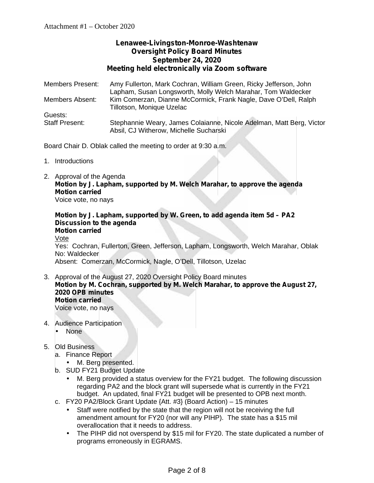# **Lenawee-Livingston-Monroe-Washtenaw Oversight Policy Board Minutes September 24, 2020 Meeting held electronically via Zoom software**

Members Present: Amy Fullerton, Mark Cochran, William Green, Ricky Jefferson, John Lapham, Susan Longsworth, Molly Welch Marahar, Tom Waldecker Members Absent: Kim Comerzan, Dianne McCormick, Frank Nagle, Dave O'Dell, Ralph Tillotson, Monique Uzelac Guests: Staff Present: Stephannie Weary, James Colaianne, Nicole Adelman, Matt Berg, Victor Absil, CJ Witherow, Michelle Sucharski

Board Chair D. Oblak called the meeting to order at 9:30 a.m.

- 1. Introductions
- 2. Approval of the Agenda **Motion by J. Lapham, supported by M. Welch Marahar, to approve the agenda Motion carried**

Voice vote, no nays

**Motion by J. Lapham, supported by W. Green, to add agenda item 5d – PA2 Discussion to the agenda Motion carried** Vote

Yes: Cochran, Fullerton, Green, Jefferson, Lapham, Longsworth, Welch Marahar, Oblak No: Waldecker

Absent: Comerzan, McCormick, Nagle, O'Dell, Tillotson, Uzelac

- 3. Approval of the August 27, 2020 Oversight Policy Board minutes **Motion by M. Cochran, supported by M. Welch Marahar, to approve the August 27, 2020 OPB minutes Motion carried** Voice vote, no nays
- 4. Audience Participation
	- None

# 5. Old Business

- a. Finance Report
	- M. Berg presented.
- b. SUD FY21 Budget Update
	- M. Berg provided a status overview for the FY21 budget. The following discussion regarding PA2 and the block grant will supersede what is currently in the FY21 budget. An updated, final FY21 budget will be presented to OPB next month.
- c. FY20 PA2/Block Grant Update {Att. #3} (Board Action) 15 minutes
	- Staff were notified by the state that the region will not be receiving the full amendment amount for FY20 (nor will any PIHP). The state has a \$15 mil overallocation that it needs to address.
	- The PIHP did not overspend by \$15 mil for FY20. The state duplicated a number of programs erroneously in EGRAMS.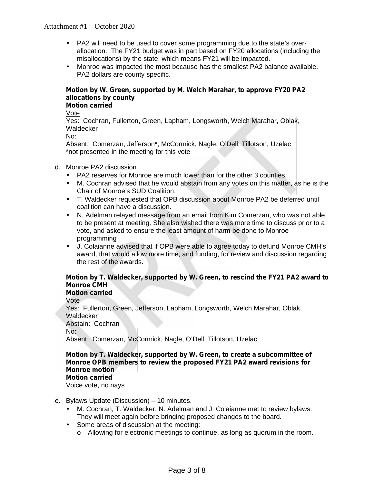# Attachment #1 – October 2020

- PA2 will need to be used to cover some programming due to the state's over allocation. The FY21 budget was in part based on FY20 allocations (including the misallocations) by the state, which means FY21 will be impacted.
- Monroe was impacted the most because has the smallest PA2 balance available. PA2 dollars are county specific.

### **Motion by W. Green, supported by M. Welch Marahar, to approve FY20 PA2 allocations by county Motion carried**

Vote

Yes: Cochran, Fullerton, Green, Lapham, Longsworth, Welch Marahar, Oblak, **Waldecker** 

No:

Absent: Comerzan, Jefferson\*, McCormick, Nagle, O'Dell, Tillotson, Uzelac \*not presented in the meeting for this vote

# d. Monroe PA2 discussion

- PA2 reserves for Monroe are much lower than for the other 3 counties.
- M. Cochran advised that he would abstain from any votes on this matter, as he is the Chair of Monroe's SUD Coalition.
- T. Waldecker requested that OPB discussion about Monroe PA2 be deferred until coalition can have a discussion.
- N. Adelman relayed message from an email from Kim Comerzan, who was not able to be present at meeting. She also wished there was more time to discuss prior to a vote, and asked to ensure the least amount of harm be done to Monroe programming
- J. Colaianne advised that if OPB were able to agree today to defund Monroe CMH's award, that would allow more time, and funding, for review and discussion regarding the rest of the awards.

# **Motion by T. Waldecker, supported by W. Green, to rescind the FY21 PA2 award to Monroe CMH**

**Motion carried**

Vote

Yes: Fullerton, Green, Jefferson, Lapham, Longsworth, Welch Marahar, Oblak, **Waldecker** Abstain: Cochran No:

Absent: Comerzan, McCormick, Nagle, O'Dell, Tillotson, Uzelac

### **Motion by T. Waldecker, supported by W. Green, to create a subcommittee of Monroe OPB members to review the proposed FY21 PA2 award revisions for Monroe motion Motion carried**

Voice vote, no nays

- e. Bylaws Update (Discussion) 10 minutes.
	- M. Cochran, T. Waldecker, N. Adelman and J. Colaianne met to review bylaws. They will meet again before bringing proposed changes to the board.
	- Some areas of discussion at the meeting:
		- o Allowing for electronic meetings to continue, as long as quorum in the room.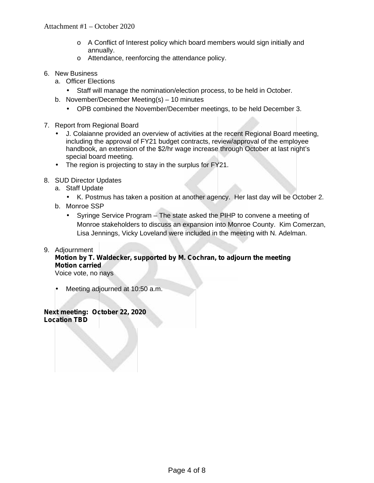# Attachment #1 – October 2020

- o A Conflict of Interest policy which board members would sign initially and annually.
- o Attendance, reenforcing the attendance policy.
- 6. New Business
	- a. Officer Elections
		- Staff will manage the nomination/election process, to be held in October.
	- b. November/December Meeting(s) 10 minutes
		- OPB combined the November/December meetings, to be held December 3.
- 7. Report from Regional Board
	- J. Colaianne provided an overview of activities at the recent Regional Board meeting, including the approval of FY21 budget contracts, review/approval of the employee handbook, an extension of the \$2/hr wage increase through October at last night's special board meeting.
	- The region is projecting to stay in the surplus for  $FY21$ .
- 8. SUD Director Updates
	- a. Staff Update
		- K. Postmus has taken a position at another agency. Her last day will be October 2.
	- b. Monroe SSP
		- Syringe Service Program The state asked the PIHP to convene a meeting of Monroe stakeholders to discuss an expansion into Monroe County. Kim Comerzan, Lisa Jennings, Vicky Loveland were included in the meeting with N. Adelman.
- 9. Adjournment

# **Motion by T. Waldecker, supported by M. Cochran, to adjourn the meeting Motion carried**

Voice vote, no nays

Meeting adjourned at 10:50 a.m.

**Next meeting: October 22, 2020 Location TBD**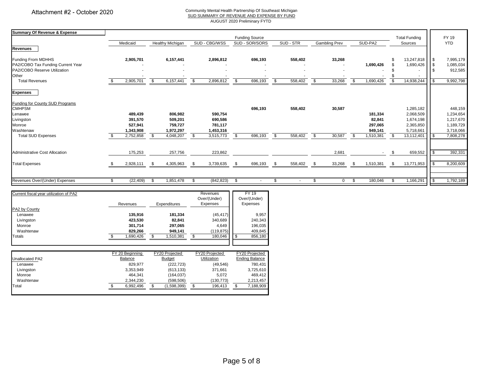#### Community Mental Health Partnership Of Southeast Michigan SUD SUMMARY OF REVENUE AND EXPENSE BY FUND

AUGUST 2020 Preliminary FYTD

| <b>Summary Of Revenue &amp; Expense</b> |              |                       |                         |                         |                          |                |                         |                       |           |           |                         |                      |            |           |                         |            |              |            |
|-----------------------------------------|--------------|-----------------------|-------------------------|-------------------------|--------------------------|----------------|-------------------------|-----------------------|-----------|-----------|-------------------------|----------------------|------------|-----------|-------------------------|------------|--------------|------------|
|                                         |              | <b>Funding Source</b> |                         |                         |                          |                |                         |                       |           |           | <b>Total Funding</b>    |                      | FY 19      |           |                         |            |              |            |
|                                         |              | Medicaid              |                         | <b>Healthy Michigan</b> |                          | SUD - CBG/WSS  |                         | SUD - SOR/SORS        |           | SUD - STR |                         | <b>Gambling Prev</b> |            | SUD-PA2   |                         | Sources    |              | <b>YTD</b> |
| <b>Revenues</b>                         |              |                       |                         |                         |                          |                |                         |                       |           |           |                         |                      |            |           |                         |            |              |            |
| <b>Funding From MDHHS</b>               |              | 2,905,701             |                         | 6,157,441               |                          | 2,896,812      |                         | 696,193               |           | 558,402   |                         | 33,268               |            |           | \$                      | 13,247,818 | <b>S</b>     | 7,995,179  |
| PA2/COBO Tax Funding Current Year       |              |                       |                         |                         |                          |                |                         |                       |           |           |                         |                      |            | 1,690,426 | \$                      | 1,690,426  | $\sqrt{3}$   | 1,085,034  |
| PA2/COBO Reserve Utilization            |              |                       |                         |                         |                          |                |                         |                       |           |           |                         |                      |            |           |                         |            |              | 912,585    |
| Other                                   |              |                       |                         |                         |                          |                |                         |                       |           |           |                         |                      |            |           |                         |            |              |            |
| <b>Total Revenues</b>                   | -\$          | 2,905,701             | s,                      | 6,157,441               | s,                       | 2,896,812      | $\overline{\mathbf{s}}$ | 696,193               | \$        | 558,402   | $\overline{\mathbf{s}}$ | 33,268               | \$         | 1,690,426 | $\overline{\mathbf{s}}$ | 14,938,244 | l \$         | 9,992,798  |
| <b>Expenses</b>                         |              |                       |                         |                         |                          |                |                         |                       |           |           |                         |                      |            |           |                         |            |              |            |
| Funding for County SUD Programs         |              |                       |                         |                         |                          |                |                         |                       |           |           |                         |                      |            |           |                         |            |              |            |
| <b>CMHPSM</b>                           |              |                       |                         |                         |                          |                |                         | 696,193               |           | 558,402   |                         | 30,587               |            |           |                         | 1,285,182  |              | 448,159    |
| Lenawee                                 |              | 489,439               |                         | 806,982                 |                          | 590,754        |                         |                       |           |           |                         |                      |            | 181,334   |                         | 2,068,509  |              | 1,234,654  |
| Livingston                              |              | 391,570               |                         | 509,201                 |                          | 690,586        |                         |                       |           |           |                         |                      |            | 82,841    |                         | 1,674,198  |              | 1,217,670  |
| Monroe                                  |              | 527,941               |                         | 759,727                 |                          | 781,117        |                         |                       |           |           |                         |                      |            | 297,065   |                         | 2,365,850  |              | 1,189,729  |
| Washtenaw                               |              | 1,343,908             |                         | 1,972,297               |                          | 1,453,316      |                         |                       |           |           |                         |                      |            | 949,141   |                         | 5,718,661  |              | 3,718,066  |
| <b>Total SUD Expenses</b>               | $\mathbf{s}$ | 2,752,858             | $\overline{\mathbf{s}}$ | 4,048,207               | $\overline{\mathcal{S}}$ | 3,515,773      | \$                      | 696,193               | $\bullet$ | 558,402   | $\overline{\mathbf{s}}$ | 30,587               | \$         | 1,510,381 | - \$                    | 13,112,401 | $\sqrt{3}$   | 7,808,278  |
|                                         |              |                       |                         |                         |                          |                |                         |                       |           |           |                         |                      |            |           |                         |            |              |            |
| <b>Administrative Cost Allocation</b>   |              | 175,253               |                         | 257,756                 |                          | 223,862        |                         |                       |           |           |                         | 2,681                |            |           | \$                      | 659,552    | l \$         | 392,331    |
|                                         |              |                       |                         |                         |                          |                |                         |                       |           |           |                         |                      |            |           |                         |            | l \$         | 8,200,609  |
| <b>Total Expenses</b>                   | \$           | 2,928,111             | - \$                    | 4,305,963               | - \$                     | 3,739,635      | \$                      | 696,193               | - \$      | 558,402   | <u>_\$</u>              | 33,268               | <u>_\$</u> | 1,510,381 | \$                      | 13,771,953 |              |            |
|                                         |              |                       |                         |                         |                          |                |                         |                       |           |           |                         |                      |            |           |                         |            |              |            |
| Revenues Over/(Under) Expenses          | \$           | (22, 409)             | \$                      | 1,851,478               | \$                       | (842, 823)     | \$                      | $\sim$                | \$        | $\sim$    | \$                      | $\overline{0}$       | \$         | 180,046   | \$                      | 1,166,291  | $\mathbf{s}$ | 1,792,189  |
| Current fiscal year utilization of PA2  |              |                       |                         |                         |                          | Revenues       |                         | <b>FY 19</b>          |           |           |                         |                      |            |           |                         |            |              |            |
|                                         |              |                       |                         |                         |                          | Over/(Under)   |                         | Over/(Under)          |           |           |                         |                      |            |           |                         |            |              |            |
|                                         |              | Revenues              |                         | Expenditures            |                          | Expenses       |                         | Expenses              |           |           |                         |                      |            |           |                         |            |              |            |
| PA2 by County                           |              |                       |                         |                         |                          |                |                         |                       |           |           |                         |                      |            |           |                         |            |              |            |
| Lenawee                                 |              | 135,916               |                         | 181,334                 |                          | (45, 417)      |                         | 9,957                 |           |           |                         |                      |            |           |                         |            |              |            |
| Livingston                              |              | 423,530               |                         | 82,841                  |                          | 340,689        |                         | 240,343               |           |           |                         |                      |            |           |                         |            |              |            |
| Monroe                                  |              | 301.714               |                         | 297,065                 |                          | 4,649          |                         | 196,035               |           |           |                         |                      |            |           |                         |            |              |            |
| Washtenaw                               |              | 829,266               |                         | 949,141                 |                          | (119, 875)     |                         | 409,845               |           |           |                         |                      |            |           |                         |            |              |            |
| <b>Totals</b>                           |              | 1,690,426             | \$                      | 1,510,381               | \$                       | 180,046        | \$                      | 856,180               |           |           |                         |                      |            |           |                         |            |              |            |
|                                         |              |                       |                         |                         |                          |                |                         |                       |           |           |                         |                      |            |           |                         |            |              |            |
|                                         |              | FY 20 Beginning       |                         | FY20 Projected          |                          | FY20 Projected |                         | FY20 Projected        |           |           |                         |                      |            |           |                         |            |              |            |
| Unallocated PA2                         |              | Balance               |                         | <b>Budget</b>           |                          | Utilization    |                         | <b>Ending Balance</b> |           |           |                         |                      |            |           |                         |            |              |            |
| Lenawee                                 |              | 829,977               |                         | (222, 723)              |                          | (49, 546)      |                         | 780,431               |           |           |                         |                      |            |           |                         |            |              |            |
| Livingston                              |              | 3,353,949             |                         | (613, 133)              |                          | 371,661        |                         | 3,725,610             |           |           |                         |                      |            |           |                         |            |              |            |
|                                         |              |                       |                         |                         |                          |                |                         |                       |           |           |                         |                      |            |           |                         |            |              |            |

Monroe 464,341 (164,037) 5,072 469,412 Washtenaw 2,344,230 (598,506) (130,773) 2,213,457 Total \$ 6,992,496 \$ (1,598,399) \$ 196,413 \$ 7,188,909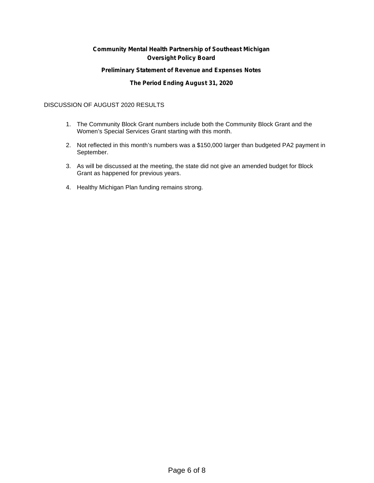# **Community Mental Health Partnership of Southeast Michigan Oversight Policy Board**

### **Preliminary Statement of Revenue and Expenses Notes**

### **The Period Ending August 31, 2020**

### DISCUSSION OF AUGUST 2020 RESULTS

- 1. The Community Block Grant numbers include both the Community Block Grant and the Women's Special Services Grant starting with this month.
- 2. Not reflected in this month's numbers was a \$150,000 larger than budgeted PA2 payment in September.
- 3. As will be discussed at the meeting, the state did not give an amended budget for Block Grant as happened for previous years.
- 4. Healthy Michigan Plan funding remains strong.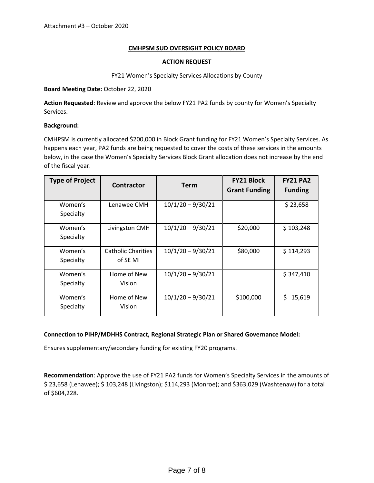### **CMHPSM SUD OVERSIGHT POLICY BOARD**

### **ACTION REQUEST**

FY21 Women's Specialty Services Allocations by County

### **Board Meeting Date:** October 22, 2020

**Action Requested**: Review and approve the below FY21 PA2 funds by county for Women's Specialty Services.

### **Background:**

CMHPSM is currently allocated \$200,000 in Block Grant funding for FY21 Women's Specialty Services. As happens each year, PA2 funds are being requested to cover the costs of these services in the amounts below, in the case the Women's Specialty Services Block Grant allocation does not increase by the end of the fiscal year.

| <b>Type of Project</b> | <b>Contractor</b>                     | <b>Term</b>         | <b>FY21 Block</b><br><b>Grant Funding</b> | <b>FY21 PA2</b><br><b>Funding</b> |  |  |
|------------------------|---------------------------------------|---------------------|-------------------------------------------|-----------------------------------|--|--|
| Women's<br>Specialty   | Lenawee CMH                           | $10/1/20 - 9/30/21$ |                                           | \$23,658                          |  |  |
| Women's<br>Specialty   | Livingston CMH                        | $10/1/20 - 9/30/21$ | \$20,000                                  | \$103,248                         |  |  |
| Women's<br>Specialty   | <b>Catholic Charities</b><br>of SE MI | $10/1/20 - 9/30/21$ | \$80,000                                  | \$114,293                         |  |  |
| Women's<br>Specialty   | Home of New<br>Vision                 | $10/1/20 - 9/30/21$ |                                           | \$347,410                         |  |  |
| Women's<br>Specialty   | Home of New<br>Vision                 | $10/1/20 - 9/30/21$ | \$100,000                                 | \$.<br>15,619                     |  |  |

### **Connection to PIHP/MDHHS Contract, Regional Strategic Plan or Shared Governance Model:**

Ensures supplementary/secondary funding for existing FY20 programs.

**Recommendation**: Approve the use of FY21 PA2 funds for Women's Specialty Services in the amounts of \$ 23,658 (Lenawee); \$ 103,248 (Livingston); \$114,293 (Monroe); and \$363,029 (Washtenaw) for a total of \$604,228.